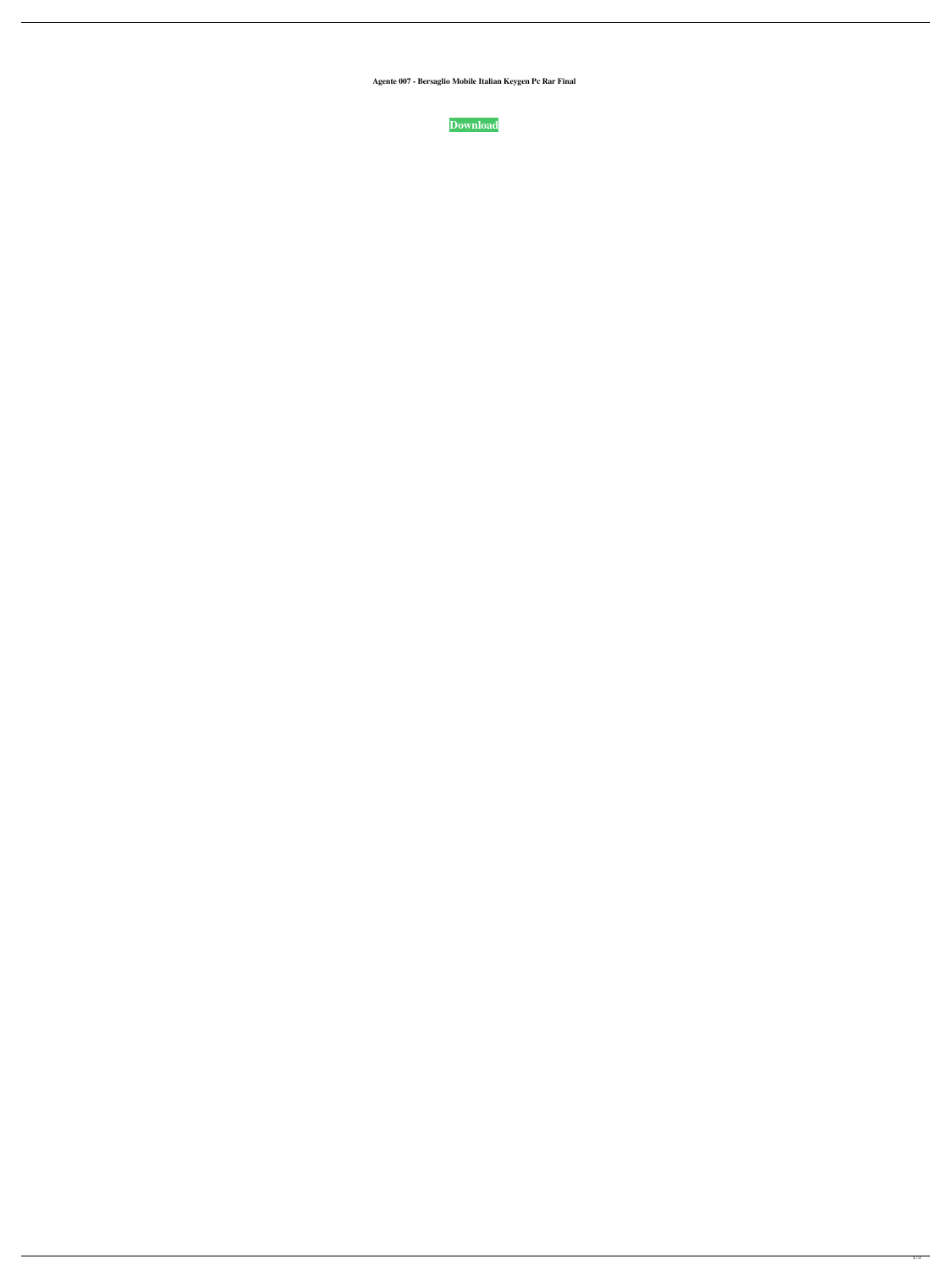**Agente 007 - Bersaglio Mobile Italian Keygen Pc Rar Final**

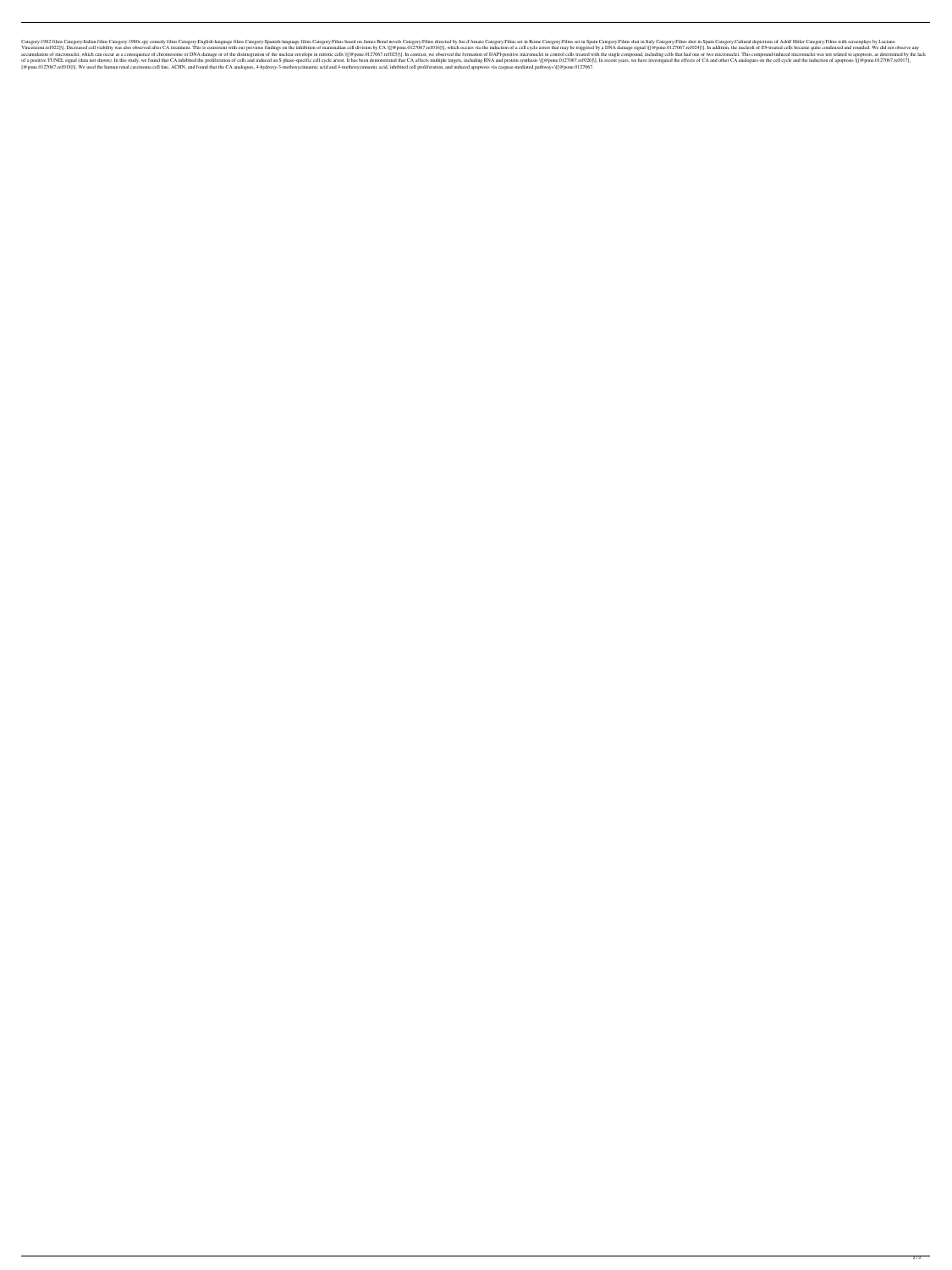Category:1982 films Category:1980s spy comedy films Category:English-language films Category:English-language films Category:Spanish-language films Category:Films based on James Bond novels Category:Films set in Rome Categ Incenzoni.ref022]\]. Decreased cell viability was also observed after CA treatment. This is consistent with our previous findings on the inhibition of mammalian cell division by CA \[[@pone.0127067.ref024]\]. In addition, In contract is which can occur as a consequence of chromosome or DNA damage or of the disintegration of the nuclear envelope in mitotic cells \[[@pone.0127067.ref025]\]. In contrast, we observed the formation of DAPI-posit of a positive TUNEL signal (data not shown). In this study, we found that CA inhibited the proliferation of cells and induced an S phase-specific cell cycle arrest. It has been demonstrated that CA affects multiple targets [@pone.0127067.ref018]\]. We used the human renal carcinoma cell line, ACHN, and found that the CA analogues, 4-hydroxy-3-methoxycinnamic acid and 4-methoxycinnamic acid, inhibited cell proliferation, and induced apoptosis